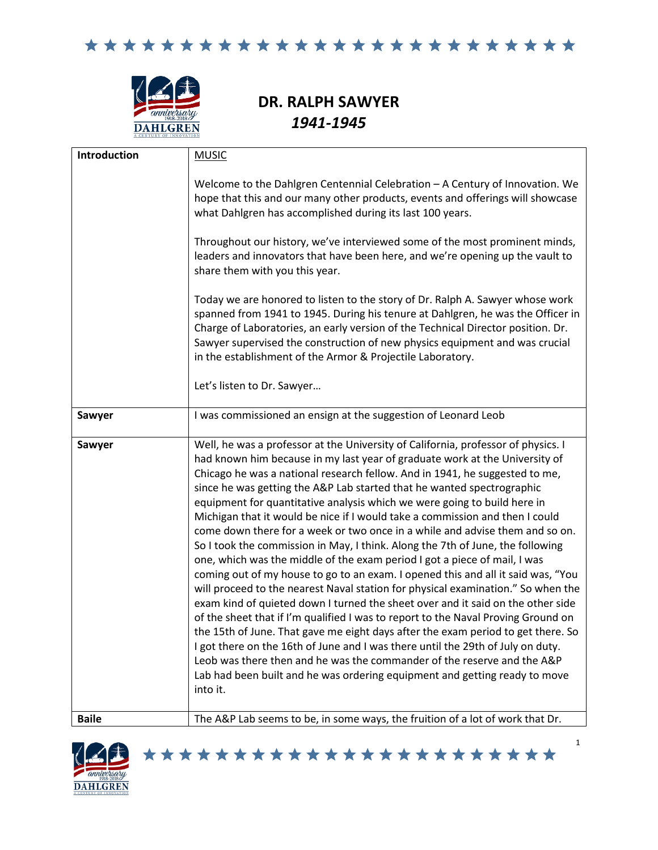

## **DR. RALPH SAWYER** *1941-1945*

| <b>Introduction</b> | <b>MUSIC</b>                                                                                                                                                                                                                                                                                                                                                                                                                                                                                                                                                                                                                                                                                                                                                                                                                                                                                                                                                                                                                                                                                                                                                                                                                                                                                                                                                                                                                     |
|---------------------|----------------------------------------------------------------------------------------------------------------------------------------------------------------------------------------------------------------------------------------------------------------------------------------------------------------------------------------------------------------------------------------------------------------------------------------------------------------------------------------------------------------------------------------------------------------------------------------------------------------------------------------------------------------------------------------------------------------------------------------------------------------------------------------------------------------------------------------------------------------------------------------------------------------------------------------------------------------------------------------------------------------------------------------------------------------------------------------------------------------------------------------------------------------------------------------------------------------------------------------------------------------------------------------------------------------------------------------------------------------------------------------------------------------------------------|
|                     | Welcome to the Dahlgren Centennial Celebration - A Century of Innovation. We<br>hope that this and our many other products, events and offerings will showcase<br>what Dahlgren has accomplished during its last 100 years.                                                                                                                                                                                                                                                                                                                                                                                                                                                                                                                                                                                                                                                                                                                                                                                                                                                                                                                                                                                                                                                                                                                                                                                                      |
|                     | Throughout our history, we've interviewed some of the most prominent minds,<br>leaders and innovators that have been here, and we're opening up the vault to<br>share them with you this year.                                                                                                                                                                                                                                                                                                                                                                                                                                                                                                                                                                                                                                                                                                                                                                                                                                                                                                                                                                                                                                                                                                                                                                                                                                   |
|                     | Today we are honored to listen to the story of Dr. Ralph A. Sawyer whose work<br>spanned from 1941 to 1945. During his tenure at Dahlgren, he was the Officer in<br>Charge of Laboratories, an early version of the Technical Director position. Dr.<br>Sawyer supervised the construction of new physics equipment and was crucial<br>in the establishment of the Armor & Projectile Laboratory.                                                                                                                                                                                                                                                                                                                                                                                                                                                                                                                                                                                                                                                                                                                                                                                                                                                                                                                                                                                                                                |
|                     | Let's listen to Dr. Sawyer                                                                                                                                                                                                                                                                                                                                                                                                                                                                                                                                                                                                                                                                                                                                                                                                                                                                                                                                                                                                                                                                                                                                                                                                                                                                                                                                                                                                       |
| Sawyer              | I was commissioned an ensign at the suggestion of Leonard Leob                                                                                                                                                                                                                                                                                                                                                                                                                                                                                                                                                                                                                                                                                                                                                                                                                                                                                                                                                                                                                                                                                                                                                                                                                                                                                                                                                                   |
| Sawyer              | Well, he was a professor at the University of California, professor of physics. I<br>had known him because in my last year of graduate work at the University of<br>Chicago he was a national research fellow. And in 1941, he suggested to me,<br>since he was getting the A&P Lab started that he wanted spectrographic<br>equipment for quantitative analysis which we were going to build here in<br>Michigan that it would be nice if I would take a commission and then I could<br>come down there for a week or two once in a while and advise them and so on.<br>So I took the commission in May, I think. Along the 7th of June, the following<br>one, which was the middle of the exam period I got a piece of mail, I was<br>coming out of my house to go to an exam. I opened this and all it said was, "You<br>will proceed to the nearest Naval station for physical examination." So when the<br>exam kind of quieted down I turned the sheet over and it said on the other side<br>of the sheet that if I'm qualified I was to report to the Naval Proving Ground on<br>the 15th of June. That gave me eight days after the exam period to get there. So<br>I got there on the 16th of June and I was there until the 29th of July on duty.<br>Leob was there then and he was the commander of the reserve and the A&P<br>Lab had been built and he was ordering equipment and getting ready to move<br>into it. |
| <b>Baile</b>        | The A&P Lab seems to be, in some ways, the fruition of a lot of work that Dr.                                                                                                                                                                                                                                                                                                                                                                                                                                                                                                                                                                                                                                                                                                                                                                                                                                                                                                                                                                                                                                                                                                                                                                                                                                                                                                                                                    |

\*\*\*\*\*\*\*\*\*\*\*\*\*\*\*\*\*\*\*\*\*\*\*

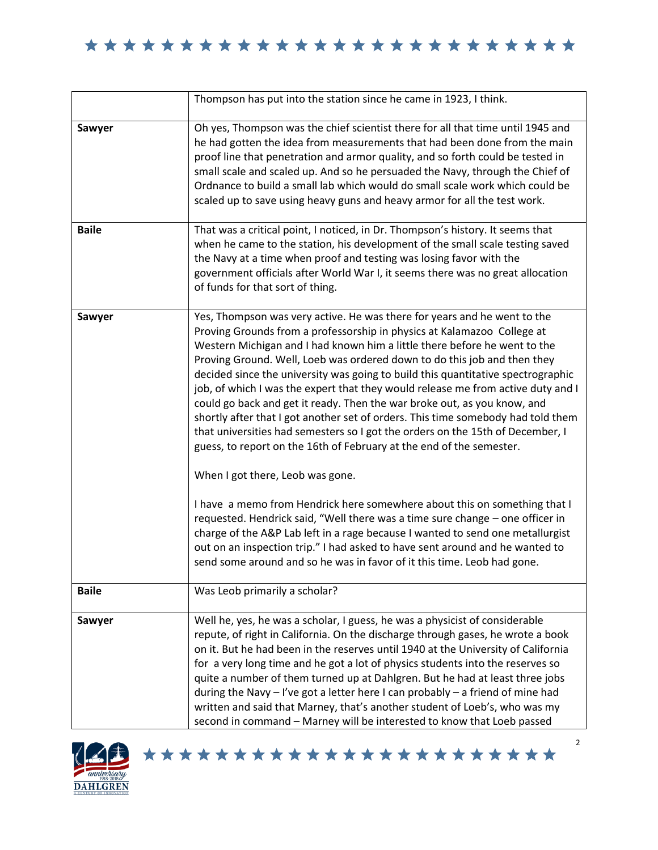|              | Thompson has put into the station since he came in 1923, I think.                                                                                                                                                                                                                                                                                                                                                                                                                                                                                                                                                                                                                                                                                                                                                                                                                                                                                                                                                                                                                                                                                                                                                                                             |
|--------------|---------------------------------------------------------------------------------------------------------------------------------------------------------------------------------------------------------------------------------------------------------------------------------------------------------------------------------------------------------------------------------------------------------------------------------------------------------------------------------------------------------------------------------------------------------------------------------------------------------------------------------------------------------------------------------------------------------------------------------------------------------------------------------------------------------------------------------------------------------------------------------------------------------------------------------------------------------------------------------------------------------------------------------------------------------------------------------------------------------------------------------------------------------------------------------------------------------------------------------------------------------------|
| Sawyer       | Oh yes, Thompson was the chief scientist there for all that time until 1945 and<br>he had gotten the idea from measurements that had been done from the main<br>proof line that penetration and armor quality, and so forth could be tested in<br>small scale and scaled up. And so he persuaded the Navy, through the Chief of<br>Ordnance to build a small lab which would do small scale work which could be<br>scaled up to save using heavy guns and heavy armor for all the test work.                                                                                                                                                                                                                                                                                                                                                                                                                                                                                                                                                                                                                                                                                                                                                                  |
| <b>Baile</b> | That was a critical point, I noticed, in Dr. Thompson's history. It seems that<br>when he came to the station, his development of the small scale testing saved<br>the Navy at a time when proof and testing was losing favor with the<br>government officials after World War I, it seems there was no great allocation<br>of funds for that sort of thing.                                                                                                                                                                                                                                                                                                                                                                                                                                                                                                                                                                                                                                                                                                                                                                                                                                                                                                  |
| Sawyer       | Yes, Thompson was very active. He was there for years and he went to the<br>Proving Grounds from a professorship in physics at Kalamazoo College at<br>Western Michigan and I had known him a little there before he went to the<br>Proving Ground. Well, Loeb was ordered down to do this job and then they<br>decided since the university was going to build this quantitative spectrographic<br>job, of which I was the expert that they would release me from active duty and I<br>could go back and get it ready. Then the war broke out, as you know, and<br>shortly after that I got another set of orders. This time somebody had told them<br>that universities had semesters so I got the orders on the 15th of December, I<br>guess, to report on the 16th of February at the end of the semester.<br>When I got there, Leob was gone.<br>I have a memo from Hendrick here somewhere about this on something that I<br>requested. Hendrick said, "Well there was a time sure change - one officer in<br>charge of the A&P Lab left in a rage because I wanted to send one metallurgist<br>out on an inspection trip." I had asked to have sent around and he wanted to<br>send some around and so he was in favor of it this time. Leob had gone. |
| <b>Baile</b> | Was Leob primarily a scholar?                                                                                                                                                                                                                                                                                                                                                                                                                                                                                                                                                                                                                                                                                                                                                                                                                                                                                                                                                                                                                                                                                                                                                                                                                                 |
| Sawyer       | Well he, yes, he was a scholar, I guess, he was a physicist of considerable<br>repute, of right in California. On the discharge through gases, he wrote a book<br>on it. But he had been in the reserves until 1940 at the University of California<br>for a very long time and he got a lot of physics students into the reserves so<br>quite a number of them turned up at Dahlgren. But he had at least three jobs<br>during the Navy $-$ I've got a letter here I can probably $-$ a friend of mine had<br>written and said that Marney, that's another student of Loeb's, who was my<br>second in command - Marney will be interested to know that Loeb passed                                                                                                                                                                                                                                                                                                                                                                                                                                                                                                                                                                                           |



\*\*\*\*\*\*\*\*\*\*\*\*\*\*\*\*\*\*\*\*\*\*\*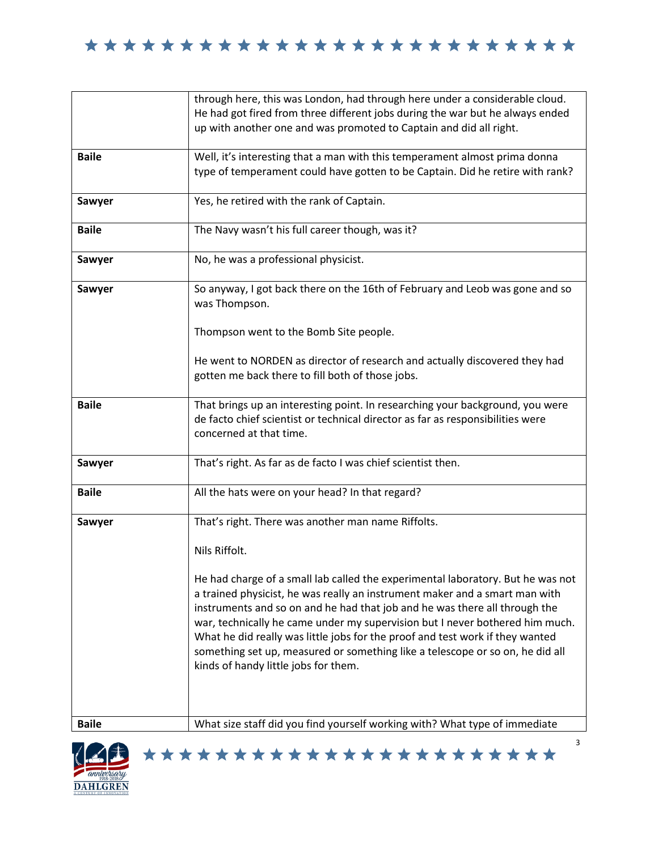|              | through here, this was London, had through here under a considerable cloud.                                                                                                                                                                                                                                                                                                                                                                                                                                                            |
|--------------|----------------------------------------------------------------------------------------------------------------------------------------------------------------------------------------------------------------------------------------------------------------------------------------------------------------------------------------------------------------------------------------------------------------------------------------------------------------------------------------------------------------------------------------|
|              | He had got fired from three different jobs during the war but he always ended<br>up with another one and was promoted to Captain and did all right.                                                                                                                                                                                                                                                                                                                                                                                    |
| <b>Baile</b> | Well, it's interesting that a man with this temperament almost prima donna<br>type of temperament could have gotten to be Captain. Did he retire with rank?                                                                                                                                                                                                                                                                                                                                                                            |
| Sawyer       | Yes, he retired with the rank of Captain.                                                                                                                                                                                                                                                                                                                                                                                                                                                                                              |
| <b>Baile</b> | The Navy wasn't his full career though, was it?                                                                                                                                                                                                                                                                                                                                                                                                                                                                                        |
| Sawyer       | No, he was a professional physicist.                                                                                                                                                                                                                                                                                                                                                                                                                                                                                                   |
| Sawyer       | So anyway, I got back there on the 16th of February and Leob was gone and so<br>was Thompson.                                                                                                                                                                                                                                                                                                                                                                                                                                          |
|              | Thompson went to the Bomb Site people.                                                                                                                                                                                                                                                                                                                                                                                                                                                                                                 |
|              | He went to NORDEN as director of research and actually discovered they had<br>gotten me back there to fill both of those jobs.                                                                                                                                                                                                                                                                                                                                                                                                         |
| <b>Baile</b> | That brings up an interesting point. In researching your background, you were<br>de facto chief scientist or technical director as far as responsibilities were<br>concerned at that time.                                                                                                                                                                                                                                                                                                                                             |
| Sawyer       | That's right. As far as de facto I was chief scientist then.                                                                                                                                                                                                                                                                                                                                                                                                                                                                           |
| <b>Baile</b> | All the hats were on your head? In that regard?                                                                                                                                                                                                                                                                                                                                                                                                                                                                                        |
| Sawyer       | That's right. There was another man name Riffolts.                                                                                                                                                                                                                                                                                                                                                                                                                                                                                     |
|              | Nils Riffolt.                                                                                                                                                                                                                                                                                                                                                                                                                                                                                                                          |
|              | He had charge of a small lab called the experimental laboratory. But he was not<br>a trained physicist, he was really an instrument maker and a smart man with<br>instruments and so on and he had that job and he was there all through the<br>war, technically he came under my supervision but I never bothered him much.<br>What he did really was little jobs for the proof and test work if they wanted<br>something set up, measured or something like a telescope or so on, he did all<br>kinds of handy little jobs for them. |
| <b>Baile</b> | What size staff did you find yourself working with? What type of immediate                                                                                                                                                                                                                                                                                                                                                                                                                                                             |

\*\*\*\*\*\*\*\*\*\*\*\*\*\*\*\*\*\*\*\*\*\*\*

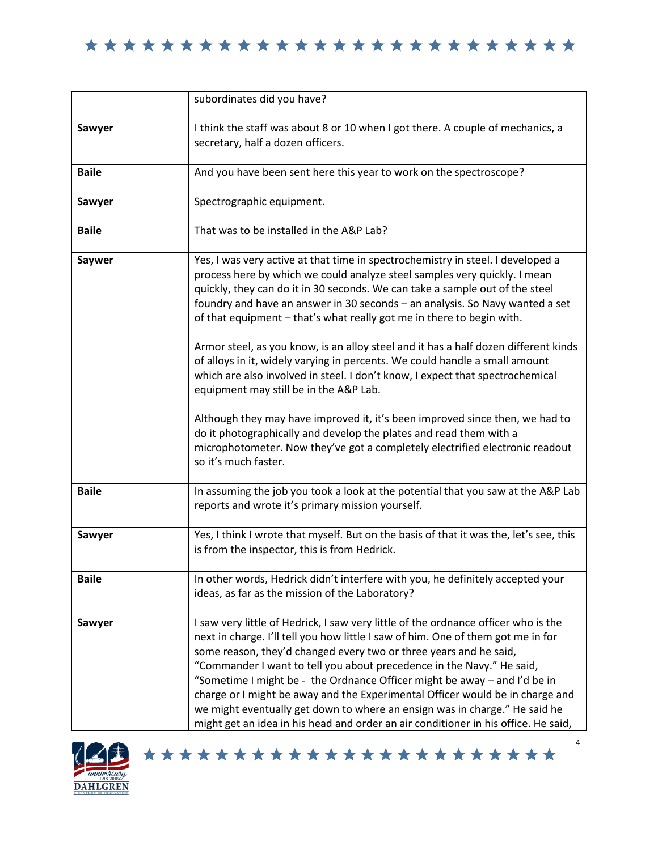|              | subordinates did you have?                                                                                                                                                                                                                                                                                                                                                                                                                                                                                                                                                                                                                                                                                                                                                                                                                                                                                                                                           |
|--------------|----------------------------------------------------------------------------------------------------------------------------------------------------------------------------------------------------------------------------------------------------------------------------------------------------------------------------------------------------------------------------------------------------------------------------------------------------------------------------------------------------------------------------------------------------------------------------------------------------------------------------------------------------------------------------------------------------------------------------------------------------------------------------------------------------------------------------------------------------------------------------------------------------------------------------------------------------------------------|
| Sawyer       | I think the staff was about 8 or 10 when I got there. A couple of mechanics, a<br>secretary, half a dozen officers.                                                                                                                                                                                                                                                                                                                                                                                                                                                                                                                                                                                                                                                                                                                                                                                                                                                  |
| <b>Baile</b> | And you have been sent here this year to work on the spectroscope?                                                                                                                                                                                                                                                                                                                                                                                                                                                                                                                                                                                                                                                                                                                                                                                                                                                                                                   |
| Sawyer       | Spectrographic equipment.                                                                                                                                                                                                                                                                                                                                                                                                                                                                                                                                                                                                                                                                                                                                                                                                                                                                                                                                            |
| <b>Baile</b> | That was to be installed in the A&P Lab?                                                                                                                                                                                                                                                                                                                                                                                                                                                                                                                                                                                                                                                                                                                                                                                                                                                                                                                             |
| Saywer       | Yes, I was very active at that time in spectrochemistry in steel. I developed a<br>process here by which we could analyze steel samples very quickly. I mean<br>quickly, they can do it in 30 seconds. We can take a sample out of the steel<br>foundry and have an answer in 30 seconds - an analysis. So Navy wanted a set<br>of that equipment - that's what really got me in there to begin with.<br>Armor steel, as you know, is an alloy steel and it has a half dozen different kinds<br>of alloys in it, widely varying in percents. We could handle a small amount<br>which are also involved in steel. I don't know, I expect that spectrochemical<br>equipment may still be in the A&P Lab.<br>Although they may have improved it, it's been improved since then, we had to<br>do it photographically and develop the plates and read them with a<br>microphotometer. Now they've got a completely electrified electronic readout<br>so it's much faster. |
| <b>Baile</b> | In assuming the job you took a look at the potential that you saw at the A&P Lab<br>reports and wrote it's primary mission yourself.                                                                                                                                                                                                                                                                                                                                                                                                                                                                                                                                                                                                                                                                                                                                                                                                                                 |
| Sawyer       | Yes, I think I wrote that myself. But on the basis of that it was the, let's see, this<br>is from the inspector, this is from Hedrick.                                                                                                                                                                                                                                                                                                                                                                                                                                                                                                                                                                                                                                                                                                                                                                                                                               |
| <b>Baile</b> | In other words, Hedrick didn't interfere with you, he definitely accepted your<br>ideas, as far as the mission of the Laboratory?                                                                                                                                                                                                                                                                                                                                                                                                                                                                                                                                                                                                                                                                                                                                                                                                                                    |
| Sawyer       | I saw very little of Hedrick, I saw very little of the ordnance officer who is the<br>next in charge. I'll tell you how little I saw of him. One of them got me in for<br>some reason, they'd changed every two or three years and he said,<br>"Commander I want to tell you about precedence in the Navy." He said,<br>"Sometime I might be - the Ordnance Officer might be away - and I'd be in<br>charge or I might be away and the Experimental Officer would be in charge and<br>we might eventually get down to where an ensign was in charge." He said he<br>might get an idea in his head and order an air conditioner in his office. He said,                                                                                                                                                                                                                                                                                                               |



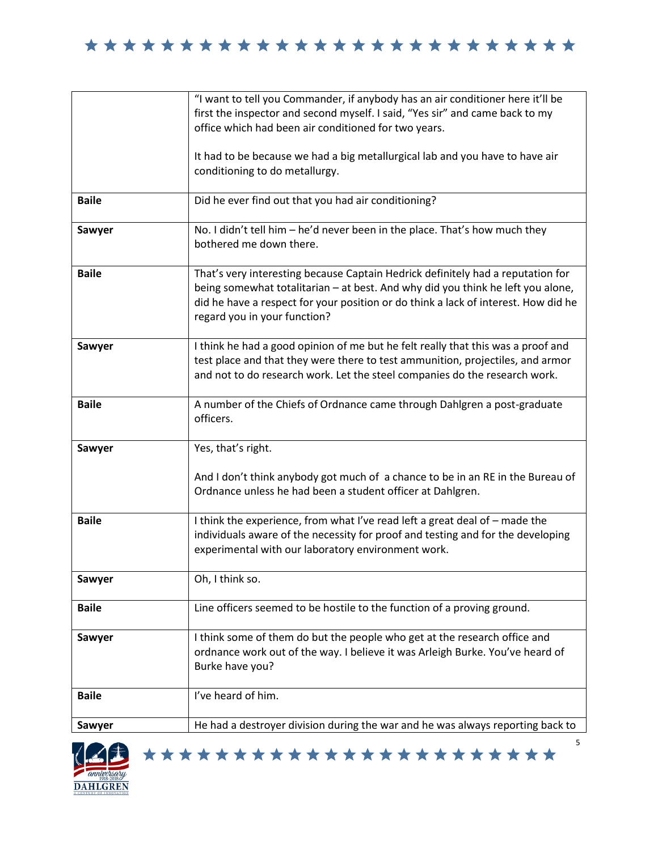

|              | "I want to tell you Commander, if anybody has an air conditioner here it'll be<br>first the inspector and second myself. I said, "Yes sir" and came back to my<br>office which had been air conditioned for two years.                                                                   |
|--------------|------------------------------------------------------------------------------------------------------------------------------------------------------------------------------------------------------------------------------------------------------------------------------------------|
|              | It had to be because we had a big metallurgical lab and you have to have air<br>conditioning to do metallurgy.                                                                                                                                                                           |
| <b>Baile</b> | Did he ever find out that you had air conditioning?                                                                                                                                                                                                                                      |
| Sawyer       | No. I didn't tell him - he'd never been in the place. That's how much they<br>bothered me down there.                                                                                                                                                                                    |
| <b>Baile</b> | That's very interesting because Captain Hedrick definitely had a reputation for<br>being somewhat totalitarian - at best. And why did you think he left you alone,<br>did he have a respect for your position or do think a lack of interest. How did he<br>regard you in your function? |
| Sawyer       | I think he had a good opinion of me but he felt really that this was a proof and<br>test place and that they were there to test ammunition, projectiles, and armor<br>and not to do research work. Let the steel companies do the research work.                                         |
| <b>Baile</b> | A number of the Chiefs of Ordnance came through Dahlgren a post-graduate<br>officers.                                                                                                                                                                                                    |
| Sawyer       | Yes, that's right.                                                                                                                                                                                                                                                                       |
|              | And I don't think anybody got much of a chance to be in an RE in the Bureau of<br>Ordnance unless he had been a student officer at Dahlgren.                                                                                                                                             |
| <b>Baile</b> | I think the experience, from what I've read left a great deal of - made the<br>individuals aware of the necessity for proof and testing and for the developing<br>experimental with our laboratory environment work.                                                                     |
| Sawyer       | Oh, I think so.                                                                                                                                                                                                                                                                          |
| <b>Baile</b> | Line officers seemed to be hostile to the function of a proving ground.                                                                                                                                                                                                                  |
| Sawyer       | I think some of them do but the people who get at the research office and<br>ordnance work out of the way. I believe it was Arleigh Burke. You've heard of<br>Burke have you?                                                                                                            |
| <b>Baile</b> | I've heard of him.                                                                                                                                                                                                                                                                       |
| Sawyer       | He had a destroyer division during the war and he was always reporting back to                                                                                                                                                                                                           |

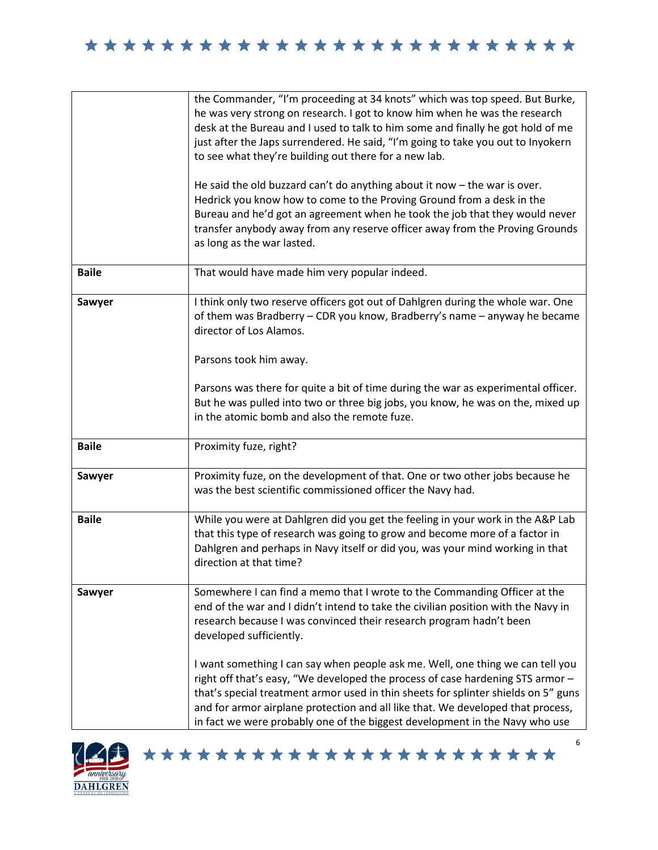|              | the Commander, "I'm proceeding at 34 knots" which was top speed. But Burke,<br>he was very strong on research. I got to know him when he was the research<br>desk at the Bureau and I used to talk to him some and finally he got hold of me<br>just after the Japs surrendered. He said, "I'm going to take you out to Inyokern<br>to see what they're building out there for a new lab.<br>He said the old buzzard can't do anything about it now $-$ the war is over.<br>Hedrick you know how to come to the Proving Ground from a desk in the<br>Bureau and he'd got an agreement when he took the job that they would never<br>transfer anybody away from any reserve officer away from the Proving Grounds<br>as long as the war lasted. |
|--------------|------------------------------------------------------------------------------------------------------------------------------------------------------------------------------------------------------------------------------------------------------------------------------------------------------------------------------------------------------------------------------------------------------------------------------------------------------------------------------------------------------------------------------------------------------------------------------------------------------------------------------------------------------------------------------------------------------------------------------------------------|
| <b>Baile</b> | That would have made him very popular indeed.                                                                                                                                                                                                                                                                                                                                                                                                                                                                                                                                                                                                                                                                                                  |
| Sawyer       | I think only two reserve officers got out of Dahlgren during the whole war. One<br>of them was Bradberry - CDR you know, Bradberry's name - anyway he became<br>director of Los Alamos.<br>Parsons took him away.<br>Parsons was there for quite a bit of time during the war as experimental officer.                                                                                                                                                                                                                                                                                                                                                                                                                                         |
|              | But he was pulled into two or three big jobs, you know, he was on the, mixed up<br>in the atomic bomb and also the remote fuze.                                                                                                                                                                                                                                                                                                                                                                                                                                                                                                                                                                                                                |
| <b>Baile</b> | Proximity fuze, right?                                                                                                                                                                                                                                                                                                                                                                                                                                                                                                                                                                                                                                                                                                                         |
| Sawyer       | Proximity fuze, on the development of that. One or two other jobs because he<br>was the best scientific commissioned officer the Navy had.                                                                                                                                                                                                                                                                                                                                                                                                                                                                                                                                                                                                     |
| <b>Baile</b> | While you were at Dahlgren did you get the feeling in your work in the A&P Lab<br>that this type of research was going to grow and become more of a factor in<br>Dahlgren and perhaps in Navy itself or did you, was your mind working in that<br>direction at that time?                                                                                                                                                                                                                                                                                                                                                                                                                                                                      |
| Sawyer       | Somewhere I can find a memo that I wrote to the Commanding Officer at the<br>end of the war and I didn't intend to take the civilian position with the Navy in<br>research because I was convinced their research program hadn't been<br>developed sufficiently.                                                                                                                                                                                                                                                                                                                                                                                                                                                                               |
|              | I want something I can say when people ask me. Well, one thing we can tell you<br>right off that's easy, "We developed the process of case hardening STS armor -<br>that's special treatment armor used in thin sheets for splinter shields on 5" guns<br>and for armor airplane protection and all like that. We developed that process,<br>in fact we were probably one of the biggest development in the Navy who use                                                                                                                                                                                                                                                                                                                       |



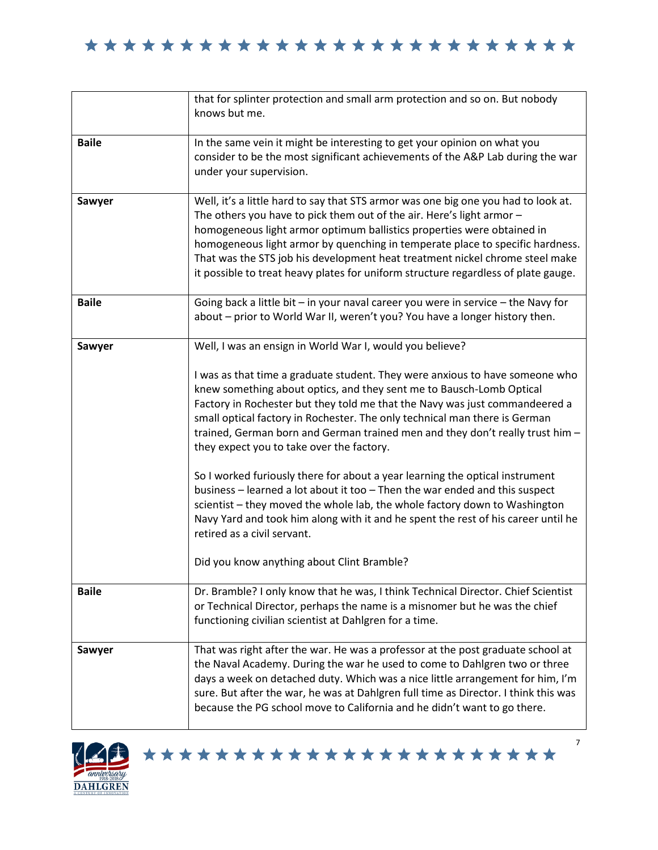|              | that for splinter protection and small arm protection and so on. But nobody<br>knows but me.                                                                                                                                                                                                                                                                                                                                                                                                                                                                                                                                                                                                                                                                                                                                                                                                                               |
|--------------|----------------------------------------------------------------------------------------------------------------------------------------------------------------------------------------------------------------------------------------------------------------------------------------------------------------------------------------------------------------------------------------------------------------------------------------------------------------------------------------------------------------------------------------------------------------------------------------------------------------------------------------------------------------------------------------------------------------------------------------------------------------------------------------------------------------------------------------------------------------------------------------------------------------------------|
| <b>Baile</b> | In the same vein it might be interesting to get your opinion on what you<br>consider to be the most significant achievements of the A&P Lab during the war<br>under your supervision.                                                                                                                                                                                                                                                                                                                                                                                                                                                                                                                                                                                                                                                                                                                                      |
| Sawyer       | Well, it's a little hard to say that STS armor was one big one you had to look at.<br>The others you have to pick them out of the air. Here's light armor -<br>homogeneous light armor optimum ballistics properties were obtained in<br>homogeneous light armor by quenching in temperate place to specific hardness.<br>That was the STS job his development heat treatment nickel chrome steel make<br>it possible to treat heavy plates for uniform structure regardless of plate gauge.                                                                                                                                                                                                                                                                                                                                                                                                                               |
| <b>Baile</b> | Going back a little bit - in your naval career you were in service - the Navy for<br>about - prior to World War II, weren't you? You have a longer history then.                                                                                                                                                                                                                                                                                                                                                                                                                                                                                                                                                                                                                                                                                                                                                           |
| Sawyer       | Well, I was an ensign in World War I, would you believe?<br>I was as that time a graduate student. They were anxious to have someone who<br>knew something about optics, and they sent me to Bausch-Lomb Optical<br>Factory in Rochester but they told me that the Navy was just commandeered a<br>small optical factory in Rochester. The only technical man there is German<br>trained, German born and German trained men and they don't really trust him -<br>they expect you to take over the factory.<br>So I worked furiously there for about a year learning the optical instrument<br>business - learned a lot about it too - Then the war ended and this suspect<br>scientist - they moved the whole lab, the whole factory down to Washington<br>Navy Yard and took him along with it and he spent the rest of his career until he<br>retired as a civil servant.<br>Did you know anything about Clint Bramble? |
| <b>Baile</b> | Dr. Bramble? I only know that he was, I think Technical Director. Chief Scientist<br>or Technical Director, perhaps the name is a misnomer but he was the chief<br>functioning civilian scientist at Dahlgren for a time.                                                                                                                                                                                                                                                                                                                                                                                                                                                                                                                                                                                                                                                                                                  |
| Sawyer       | That was right after the war. He was a professor at the post graduate school at<br>the Naval Academy. During the war he used to come to Dahlgren two or three<br>days a week on detached duty. Which was a nice little arrangement for him, I'm<br>sure. But after the war, he was at Dahlgren full time as Director. I think this was<br>because the PG school move to California and he didn't want to go there.                                                                                                                                                                                                                                                                                                                                                                                                                                                                                                         |



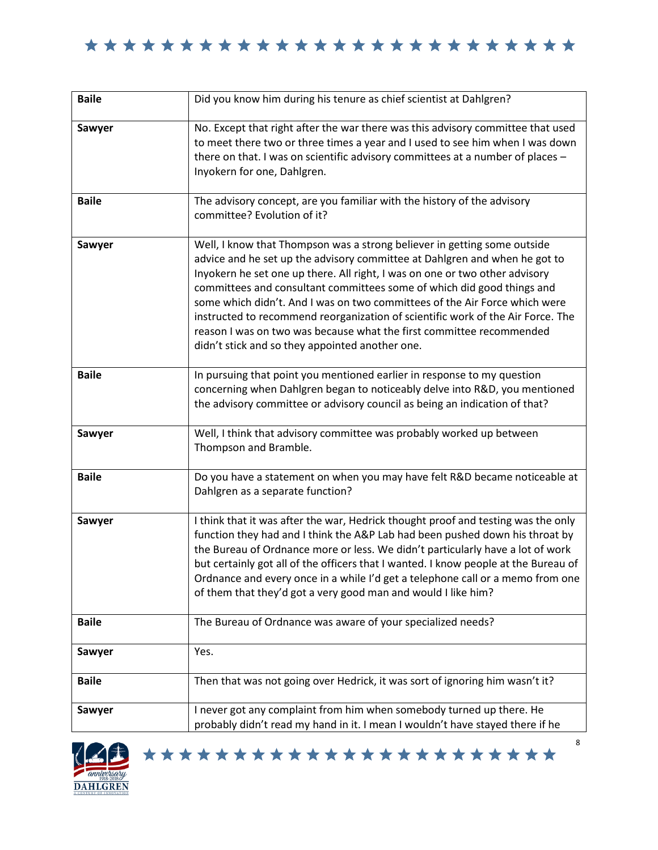| <b>Baile</b> | Did you know him during his tenure as chief scientist at Dahlgren?                                                                                                                                                                                                                                                                                                                                                                                                                                                                                                                                          |
|--------------|-------------------------------------------------------------------------------------------------------------------------------------------------------------------------------------------------------------------------------------------------------------------------------------------------------------------------------------------------------------------------------------------------------------------------------------------------------------------------------------------------------------------------------------------------------------------------------------------------------------|
| Sawyer       | No. Except that right after the war there was this advisory committee that used<br>to meet there two or three times a year and I used to see him when I was down<br>there on that. I was on scientific advisory committees at a number of places -<br>Inyokern for one, Dahlgren.                                                                                                                                                                                                                                                                                                                           |
| <b>Baile</b> | The advisory concept, are you familiar with the history of the advisory<br>committee? Evolution of it?                                                                                                                                                                                                                                                                                                                                                                                                                                                                                                      |
| Sawyer       | Well, I know that Thompson was a strong believer in getting some outside<br>advice and he set up the advisory committee at Dahlgren and when he got to<br>Inyokern he set one up there. All right, I was on one or two other advisory<br>committees and consultant committees some of which did good things and<br>some which didn't. And I was on two committees of the Air Force which were<br>instructed to recommend reorganization of scientific work of the Air Force. The<br>reason I was on two was because what the first committee recommended<br>didn't stick and so they appointed another one. |
| <b>Baile</b> | In pursuing that point you mentioned earlier in response to my question<br>concerning when Dahlgren began to noticeably delve into R&D, you mentioned<br>the advisory committee or advisory council as being an indication of that?                                                                                                                                                                                                                                                                                                                                                                         |
| Sawyer       | Well, I think that advisory committee was probably worked up between<br>Thompson and Bramble.                                                                                                                                                                                                                                                                                                                                                                                                                                                                                                               |
| <b>Baile</b> | Do you have a statement on when you may have felt R&D became noticeable at<br>Dahlgren as a separate function?                                                                                                                                                                                                                                                                                                                                                                                                                                                                                              |
| Sawyer       | I think that it was after the war, Hedrick thought proof and testing was the only<br>function they had and I think the A&P Lab had been pushed down his throat by<br>the Bureau of Ordnance more or less. We didn't particularly have a lot of work<br>but certainly got all of the officers that I wanted. I know people at the Bureau of<br>Ordnance and every once in a while I'd get a telephone call or a memo from one<br>of them that they'd got a very good man and would I like him?                                                                                                               |
| <b>Baile</b> | The Bureau of Ordnance was aware of your specialized needs?                                                                                                                                                                                                                                                                                                                                                                                                                                                                                                                                                 |
| Sawyer       | Yes.                                                                                                                                                                                                                                                                                                                                                                                                                                                                                                                                                                                                        |
| <b>Baile</b> | Then that was not going over Hedrick, it was sort of ignoring him wasn't it?                                                                                                                                                                                                                                                                                                                                                                                                                                                                                                                                |
| Sawyer       | I never got any complaint from him when somebody turned up there. He<br>probably didn't read my hand in it. I mean I wouldn't have stayed there if he                                                                                                                                                                                                                                                                                                                                                                                                                                                       |